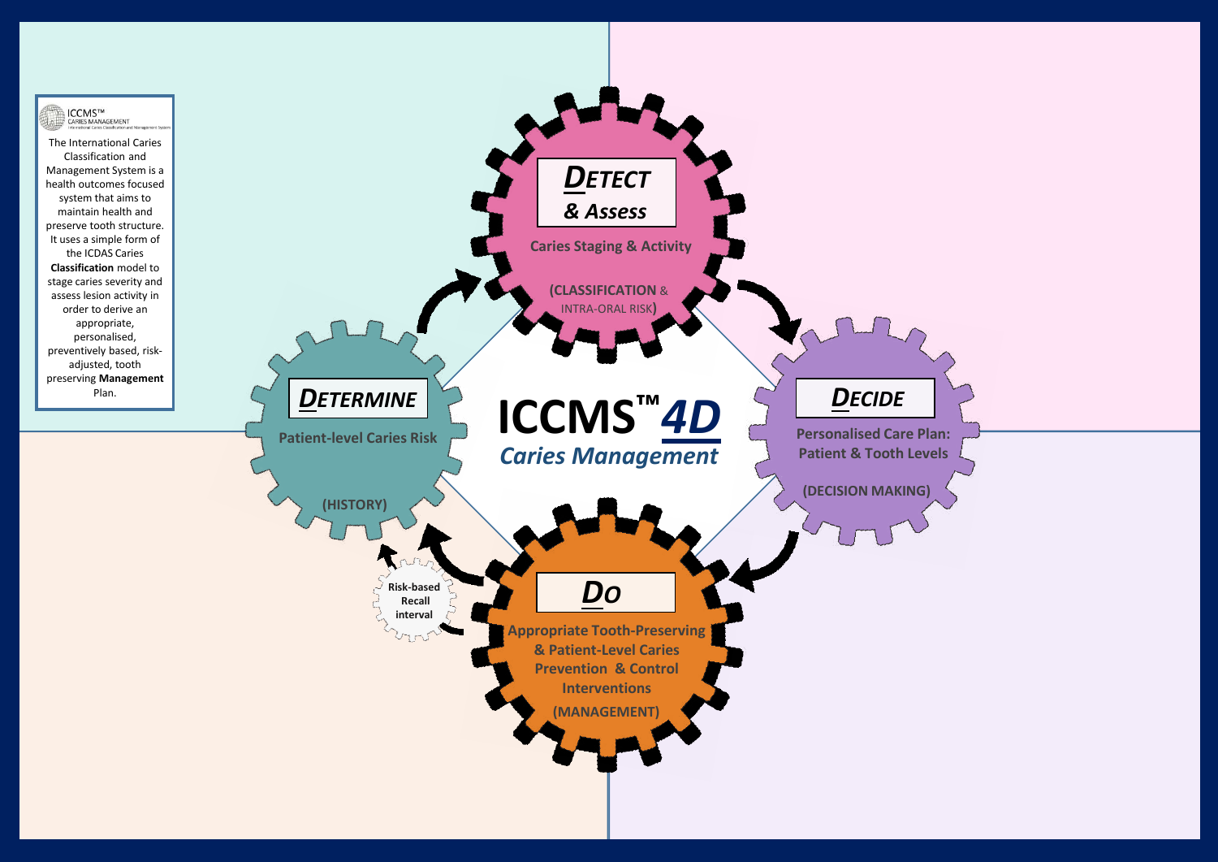